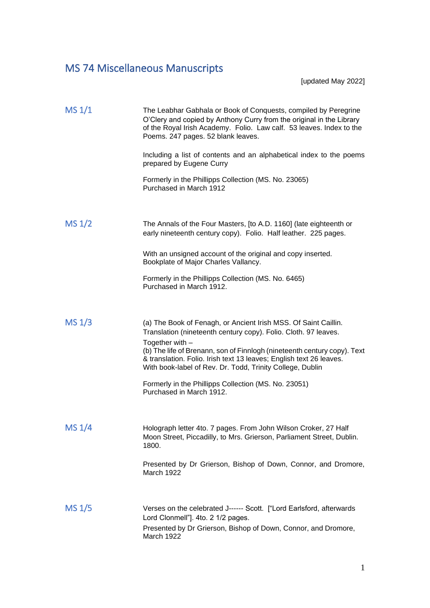## MS 74 Miscellaneous Manuscripts

[updated May 2022]

| MS 1/1             | The Leabhar Gabhala or Book of Conquests, compiled by Peregrine<br>O'Clery and copied by Anthony Curry from the original in the Library<br>of the Royal Irish Academy. Folio. Law calf. 53 leaves. Index to the<br>Poems. 247 pages. 52 blank leaves.<br>Including a list of contents and an alphabetical index to the poems |
|--------------------|------------------------------------------------------------------------------------------------------------------------------------------------------------------------------------------------------------------------------------------------------------------------------------------------------------------------------|
|                    | prepared by Eugene Curry                                                                                                                                                                                                                                                                                                     |
|                    | Formerly in the Phillipps Collection (MS. No. 23065)<br>Purchased in March 1912                                                                                                                                                                                                                                              |
|                    |                                                                                                                                                                                                                                                                                                                              |
| MS <sub>1</sub> /2 | The Annals of the Four Masters, [to A.D. 1160] (late eighteenth or<br>early nineteenth century copy). Folio. Half leather. 225 pages.                                                                                                                                                                                        |
|                    | With an unsigned account of the original and copy inserted.<br>Bookplate of Major Charles Vallancy.                                                                                                                                                                                                                          |
|                    | Formerly in the Phillipps Collection (MS. No. 6465)<br>Purchased in March 1912.                                                                                                                                                                                                                                              |
|                    |                                                                                                                                                                                                                                                                                                                              |
| MS 1/3             | (a) The Book of Fenagh, or Ancient Irish MSS. Of Saint Caillin.<br>Translation (nineteenth century copy). Folio. Cloth. 97 leaves.                                                                                                                                                                                           |
|                    | Together with $-$<br>(b) The life of Brenann, son of Finnlogh (nineteenth century copy). Text<br>& translation. Folio. Irish text 13 leaves; English text 26 leaves.<br>With book-label of Rev. Dr. Todd, Trinity College, Dublin                                                                                            |
|                    | Formerly in the Phillipps Collection (MS. No. 23051)<br>Purchased in March 1912.                                                                                                                                                                                                                                             |
|                    |                                                                                                                                                                                                                                                                                                                              |
| MS 1/4             | Holograph letter 4to. 7 pages. From John Wilson Croker, 27 Half<br>Moon Street, Piccadilly, to Mrs. Grierson, Parliament Street, Dublin.<br>1800.                                                                                                                                                                            |
|                    | Presented by Dr Grierson, Bishop of Down, Connor, and Dromore,<br>March 1922                                                                                                                                                                                                                                                 |
|                    |                                                                                                                                                                                                                                                                                                                              |
| <b>MS 1/5</b>      | Verses on the celebrated J------ Scott. ["Lord Earlsford, afterwards<br>Lord Clonmell"]. 4to. 2 1/2 pages.                                                                                                                                                                                                                   |
|                    | Presented by Dr Grierson, Bishop of Down, Connor, and Dromore,<br>March 1922                                                                                                                                                                                                                                                 |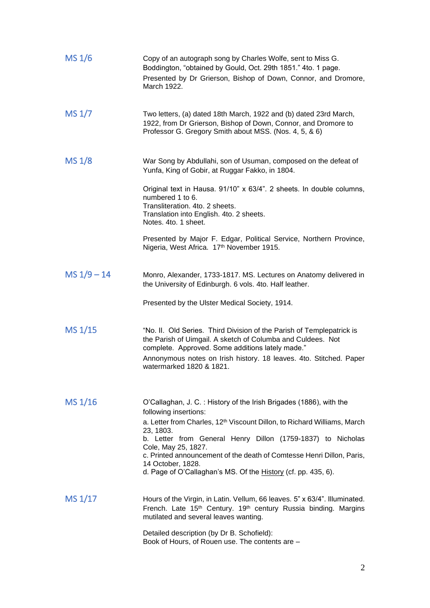| MS 1/6             | Copy of an autograph song by Charles Wolfe, sent to Miss G.<br>Boddington, "obtained by Gould, Oct. 29th 1851." 4to. 1 page.<br>Presented by Dr Grierson, Bishop of Down, Connor, and Dromore,<br>March 1922.                                                                                                                                                                                                                                         |
|--------------------|-------------------------------------------------------------------------------------------------------------------------------------------------------------------------------------------------------------------------------------------------------------------------------------------------------------------------------------------------------------------------------------------------------------------------------------------------------|
| MS 1/7             | Two letters, (a) dated 18th March, 1922 and (b) dated 23rd March,<br>1922, from Dr Grierson, Bishop of Down, Connor, and Dromore to<br>Professor G. Gregory Smith about MSS. (Nos. 4, 5, & 6)                                                                                                                                                                                                                                                         |
| MS <sub>1</sub> /8 | War Song by Abdullahi, son of Usuman, composed on the defeat of<br>Yunfa, King of Gobir, at Ruggar Fakko, in 1804.                                                                                                                                                                                                                                                                                                                                    |
|                    | Original text in Hausa. 91/10" x 63/4". 2 sheets. In double columns,<br>numbered 1 to 6.<br>Transliteration. 4to. 2 sheets.<br>Translation into English. 4to. 2 sheets.<br>Notes, 4to, 1 sheet.                                                                                                                                                                                                                                                       |
|                    | Presented by Major F. Edgar, Political Service, Northern Province,<br>Nigeria, West Africa. 17th November 1915.                                                                                                                                                                                                                                                                                                                                       |
| $MS 1/9 - 14$      | Monro, Alexander, 1733-1817. MS. Lectures on Anatomy delivered in<br>the University of Edinburgh. 6 vols. 4to. Half leather.                                                                                                                                                                                                                                                                                                                          |
|                    | Presented by the Ulster Medical Society, 1914.                                                                                                                                                                                                                                                                                                                                                                                                        |
| MS 1/15            | "No. II. Old Series. Third Division of the Parish of Templepatrick is<br>the Parish of Uimgail. A sketch of Columba and Culdees. Not<br>complete. Approved. Some additions lately made."<br>Annonymous notes on Irish history. 18 leaves. 4to. Stitched. Paper<br>watermarked 1820 & 1821.                                                                                                                                                            |
| MS 1/16            | O'Callaghan, J. C.: History of the Irish Brigades (1886), with the<br>following insertions:<br>a. Letter from Charles, 12 <sup>th</sup> Viscount Dillon, to Richard Williams, March<br>23, 1803.<br>b. Letter from General Henry Dillon (1759-1837) to Nicholas<br>Cole, May 25, 1827.<br>c. Printed announcement of the death of Comtesse Henri Dillon, Paris,<br>14 October, 1828.<br>d. Page of O'Callaghan's MS. Of the History (cf. pp. 435, 6). |
| MS 1/17            | Hours of the Virgin, in Latin. Vellum, 66 leaves. 5" x 63/4". Illuminated.<br>French. Late 15 <sup>th</sup> Century. 19 <sup>th</sup> century Russia binding. Margins<br>mutilated and several leaves wanting.                                                                                                                                                                                                                                        |
|                    | Detailed description (by Dr B. Schofield):<br>Book of Hours, of Rouen use. The contents are -                                                                                                                                                                                                                                                                                                                                                         |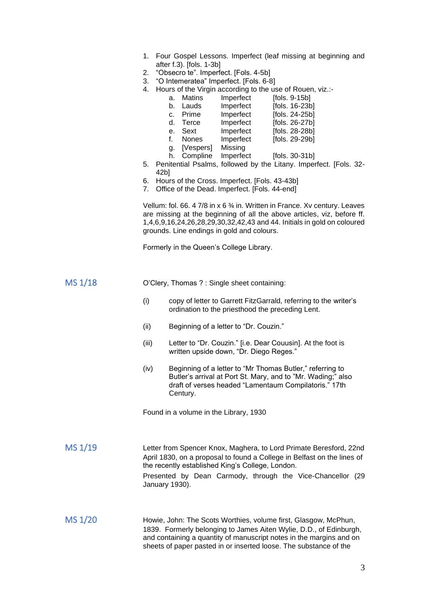- 1. Four Gospel Lessons. Imperfect (leaf missing at beginning and after f.3). [fols. 1-3b]
- 2. "Obsecro te". Imperfect. [Fols. 4-5b]
- 3. "O Intemeratea" Imperfect. [Fols. 6-8]
- 4. Hours of the Virgin according to the use of Rouen, viz.:-

|    |           | are or the virgin accentaing to the accion reach, |                |
|----|-----------|---------------------------------------------------|----------------|
| a. | Matins    | Imperfect                                         | [fols. 9-15b]  |
|    | b. Lauds  | Imperfect                                         | [fols. 16-23b] |
|    | c. Prime  | Imperfect                                         | [fols. 24-25b] |
|    | d. Terce  | Imperfect                                         | [fols. 26-27b] |
|    | e. Sext   | Imperfect                                         | [fols. 28-28b] |
| f. | Nones     | Imperfect                                         | [fols. 29-29b] |
| g. | [Vespers] | Missing                                           |                |

- h. Compline Imperfect [fols. 30-31b]
- 5. Penitential Psalms, followed by the Litany. Imperfect. [Fols. 32- 42b]
- 6. Hours of the Cross. Imperfect. [Fols. 43-43b]
- 7. Office of the Dead. Imperfect. [Fols. 44-end]

Vellum: fol. 66. 4 7/8 in x 6 % in. Written in France. Xv century. Leaves are missing at the beginning of all the above articles, viz, before ff. 1,4,6,9,16,24,26,28,29,30,32,42,43 and 44. Initials in gold on coloured grounds. Line endings in gold and colours.

Formerly in the Queen's College Library.

| MS 1/18 |  | O'Clery, Thomas ? : Single sheet containing: |
|---------|--|----------------------------------------------|
|---------|--|----------------------------------------------|

- (i) copy of letter to Garrett FitzGarrald, referring to the writer's ordination to the priesthood the preceding Lent.
- (ii) Beginning of a letter to "Dr. Couzin."
- (iii) Letter to "Dr. Couzin." [i.e. Dear Couusin]. At the foot is written upside down, "Dr. Diego Reges."
- (iv) Beginning of a letter to "Mr Thomas Butler," referring to Butler's arrival at Port St. Mary, and to "Mr. Wading;" also draft of verses headed "Lamentaum Compilatoris." 17th Century.

Found in a volume in the Library, 1930

MS 1/19 Letter from Spencer Knox, Maghera, to Lord Primate Beresford, 22nd April 1830, on a proposal to found a College in Belfast on the lines of the recently established King's College, London. Presented by Dean Carmody, through the Vice-Chancellor (29 January 1930).

MS  $1/20$  Howie, John: The Scots Worthies, volume first, Glasgow, McPhun, 1839. Formerly belonging to James Aiten Wylie, D.D., of Edinburgh, and containing a quantity of manuscript notes in the margins and on sheets of paper pasted in or inserted loose. The substance of the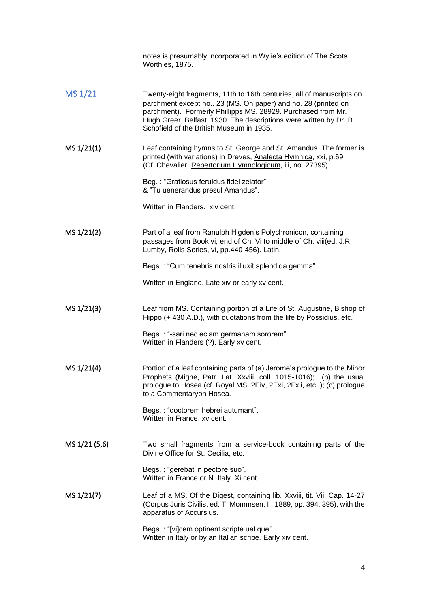|               | notes is presumably incorporated in Wylie's edition of The Scots<br>Worthies, 1875.                                                                                                                                                                                                                                     |
|---------------|-------------------------------------------------------------------------------------------------------------------------------------------------------------------------------------------------------------------------------------------------------------------------------------------------------------------------|
| MS 1/21       | Twenty-eight fragments, 11th to 16th centuries, all of manuscripts on<br>parchment except no 23 (MS. On paper) and no. 28 (printed on<br>parchment). Formerly Phillipps MS. 28929. Purchased from Mr.<br>Hugh Greer, Belfast, 1930. The descriptions were written by Dr. B.<br>Schofield of the British Museum in 1935. |
| MS 1/21(1)    | Leaf containing hymns to St. George and St. Amandus. The former is<br>printed (with variations) in Dreves, Analecta Hymnica, xxi, p.69<br>(Cf. Chevalier, Repertorium Hymnologicum, iii, no. 27395).                                                                                                                    |
|               | Beg.: "Gratiosus feruidus fidei zelator"<br>& "Tu uenerandus presul Amandus".                                                                                                                                                                                                                                           |
|               | Written in Flanders. xiv cent.                                                                                                                                                                                                                                                                                          |
| MS 1/21(2)    | Part of a leaf from Ranulph Higden's Polychronicon, containing<br>passages from Book vi, end of Ch. Vi to middle of Ch. viii(ed. J.R.<br>Lumby, Rolls Series, vi, pp.440-456). Latin.                                                                                                                                   |
|               | Begs.: "Cum tenebris nostris illuxit splendida gemma".                                                                                                                                                                                                                                                                  |
|               | Written in England. Late xiv or early xv cent.                                                                                                                                                                                                                                                                          |
| MS 1/21(3)    | Leaf from MS. Containing portion of a Life of St. Augustine, Bishop of<br>Hippo (+ 430 A.D.), with quotations from the life by Possidius, etc.                                                                                                                                                                          |
|               | Begs. : "-sari nec eciam germanam sororem".<br>Written in Flanders (?). Early xv cent.                                                                                                                                                                                                                                  |
| MS 1/21(4)    | Portion of a leaf containing parts of (a) Jerome's prologue to the Minor<br>Prophets (Migne, Patr. Lat. Xxviii, coll. 1015-1016); (b) the usual<br>prologue to Hosea (cf. Royal MS. 2Eiv, 2Exi, 2Fxii, etc.); (c) prologue<br>to a Commentaryon Hosea.                                                                  |
|               | Begs.: "doctorem hebrei autumant".<br>Written in France. xv cent.                                                                                                                                                                                                                                                       |
| MS 1/21 (5,6) | Two small fragments from a service-book containing parts of the<br>Divine Office for St. Cecilia, etc.                                                                                                                                                                                                                  |
|               | Begs.: "gerebat in pectore suo".<br>Written in France or N. Italy. Xi cent.                                                                                                                                                                                                                                             |
| MS 1/21(7)    | Leaf of a MS. Of the Digest, containing lib. Xxviii, tit. Vii. Cap. 14-27<br>(Corpus Juris Civilis, ed. T. Mommsen, I., 1889, pp. 394, 395), with the<br>apparatus of Accursius.                                                                                                                                        |
|               | Begs.: "[vi]cem optinent scripte uel que"<br>Written in Italy or by an Italian scribe. Early xiv cent.                                                                                                                                                                                                                  |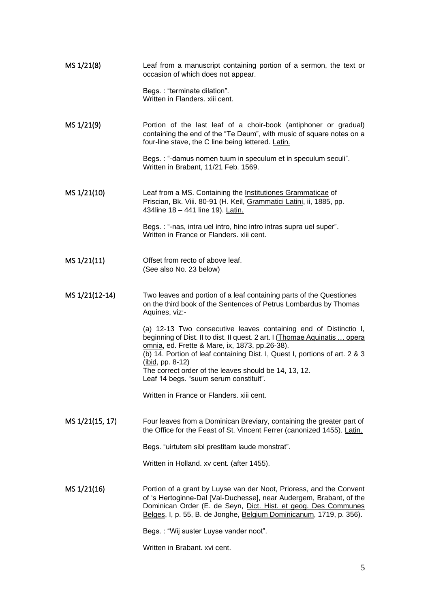| MS 1/21(8)      | Leaf from a manuscript containing portion of a sermon, the text or<br>occasion of which does not appear.                                                                                                                                                                                                                                                                                                 |
|-----------------|----------------------------------------------------------------------------------------------------------------------------------------------------------------------------------------------------------------------------------------------------------------------------------------------------------------------------------------------------------------------------------------------------------|
|                 | Begs.: "terminate dilation".<br>Written in Flanders. xiii cent.                                                                                                                                                                                                                                                                                                                                          |
| MS 1/21(9)      | Portion of the last leaf of a choir-book (antiphoner or gradual)<br>containing the end of the "Te Deum", with music of square notes on a<br>four-line stave, the C line being lettered. Latin.                                                                                                                                                                                                           |
|                 | Begs.: "-damus nomen tuum in speculum et in speculum seculi".<br>Written in Brabant, 11/21 Feb. 1569.                                                                                                                                                                                                                                                                                                    |
| MS 1/21(10)     | Leaf from a MS. Containing the Institutiones Grammaticae of<br>Priscian, Bk. Viii. 80-91 (H. Keil, Grammatici Latini, ii, 1885, pp.<br>434line 18 - 441 line 19). Latin.                                                                                                                                                                                                                                 |
|                 | Begs.: "-nas, intra uel intro, hinc intro intras supra uel super".<br>Written in France or Flanders. xiii cent.                                                                                                                                                                                                                                                                                          |
| MS 1/21(11)     | Offset from recto of above leaf.<br>(See also No. 23 below)                                                                                                                                                                                                                                                                                                                                              |
| MS 1/21(12-14)  | Two leaves and portion of a leaf containing parts of the Questiones<br>on the third book of the Sentences of Petrus Lombardus by Thomas<br>Aquines, viz:-                                                                                                                                                                                                                                                |
|                 | (a) 12-13 Two consecutive leaves containing end of Distinctio I,<br>beginning of Dist. II to dist. II quest. 2 art. I (Thomae Aquinatis  opera<br>omnia, ed. Frette & Mare, ix, 1873, pp.26-38).<br>(b) 14. Portion of leaf containing Dist. I, Quest I, portions of art. 2 & 3<br>$(ibid, pp. 8-12)$<br>The correct order of the leaves should be 14, 13, 12.<br>Leaf 14 begs. "suum serum constituit". |
|                 | Written in France or Flanders, xiji cent.                                                                                                                                                                                                                                                                                                                                                                |
| MS 1/21(15, 17) | Four leaves from a Dominican Breviary, containing the greater part of<br>the Office for the Feast of St. Vincent Ferrer (canonized 1455). Latin.                                                                                                                                                                                                                                                         |
|                 | Begs. "uirtutem sibi prestitam laude monstrat".                                                                                                                                                                                                                                                                                                                                                          |
|                 | Written in Holland. xv cent. (after 1455).                                                                                                                                                                                                                                                                                                                                                               |
| MS 1/21(16)     | Portion of a grant by Luyse van der Noot, Prioress, and the Convent<br>of 's Hertoginne-Dal [Val-Duchesse], near Audergem, Brabant, of the<br>Dominican Order (E. de Seyn, Dict. Hist. et geog. Des Communes<br>Belges, I, p. 55, B. de Jonghe, Belgium Dominicanum, 1719, p. 356).                                                                                                                      |
|                 | Begs.: "Wij suster Luyse vander noot".                                                                                                                                                                                                                                                                                                                                                                   |
|                 | Written in Brabant. xvi cent.                                                                                                                                                                                                                                                                                                                                                                            |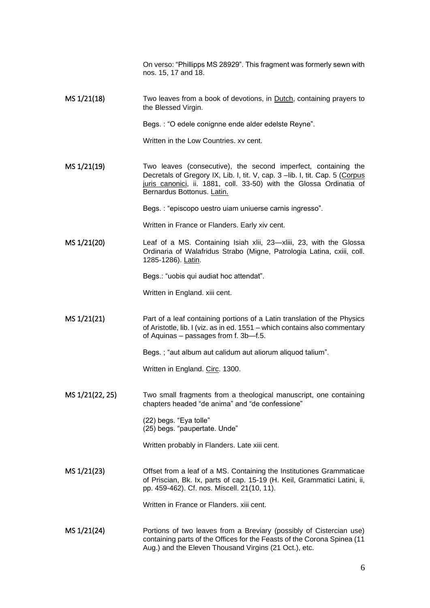On verso: "Phillipps MS 28929". This fragment was formerly sewn with nos. 15, 17 and 18.

MS 1/21(18) Two leaves from a book of devotions, in Dutch, containing prayers to the Blessed Virgin.

Begs. : "O edele conignne ende alder edelste Reyne".

Written in the Low Countries, xy cent.

MS 1/21(19) Two leaves (consecutive), the second imperfect, containing the Decretals of Gregory IX, Lib. I, tit. V, cap. 3 – lib. I, tit. Cap. 5 (Corpus juris canonici, ii. 1881, coll. 33-50) with the Glossa Ordinatia of Bernardus Bottonus. Latin.

Begs. : "episcopo uestro uiam uniuerse carnis ingresso".

Written in France or Flanders. Early xiv cent.

MS 1/21(20) Leaf of a MS. Containing Isiah xlii, 23—xliii, 23, with the Glossa Ordinaria of Walafridus Strabo (Migne, Patrologia Latina, cxiii, coll. 1285-1286). Latin.

Begs.: "uobis qui audiat hoc attendat".

Written in England. xiii cent.

MS 1/21(21) Part of a leaf containing portions of a Latin translation of the Physics of Aristotle, lib. I (viz. as in ed. 1551 – which contains also commentary of Aquinas – passages from f. 3b—f.5.

Begs. ; "aut album aut calidum aut aliorum aliquod talium".

Written in England. Circ. 1300.

MS 1/21(22, 25) Two small fragments from a theological manuscript, one containing chapters headed "de anima" and "de confessione"

> (22) begs. "Eya tolle" (25) begs. "paupertate. Unde"

Written probably in Flanders. Late xiii cent.

MS 1/21(23) Offset from a leaf of a MS. Containing the Institutiones Grammaticae of Priscian, Bk. Ix, parts of cap. 15-19 (H. Keil, Grammatici Latini, ii, pp. 459-462). Cf. nos. Miscell. 21(10, 11).

Written in France or Flanders. xiii cent.

MS 1/21(24) Portions of two leaves from a Breviary (possibly of Cistercian use) containing parts of the Offices for the Feasts of the Corona Spinea (11 Aug.) and the Eleven Thousand Virgins (21 Oct.), etc.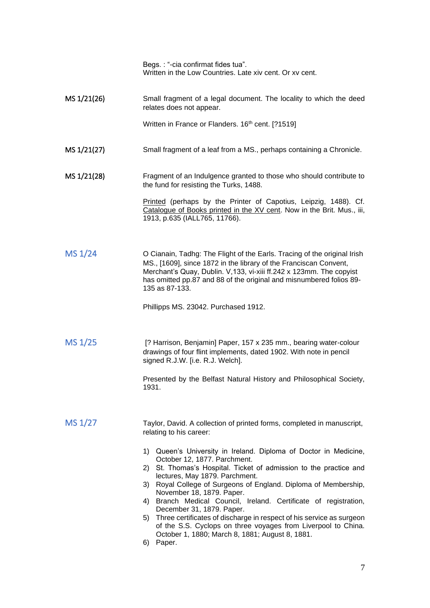Begs. : "-cia confirmat fides tua". Written in the Low Countries. Late xiv cent. Or xv cent.

MS 1/21(26) Small fragment of a legal document. The locality to which the deed relates does not appear. Written in France or Flanders. 16<sup>th</sup> cent. [?1519] MS 1/21(27) Small fragment of a leaf from a MS., perhaps containing a Chronicle. MS 1/21(28) Fragment of an Indulgence granted to those who should contribute to the fund for resisting the Turks, 1488. Printed (perhaps by the Printer of Capotius, Leipzig, 1488). Cf. Catalogue of Books printed in the XV cent. Now in the Brit. Mus., iii, 1913, p.635 (IALL765, 11766). MS  $1/24$  O Cianain, Tadhg: The Flight of the Earls. Tracing of the original Irish MS., [1609], since 1872 in the library of the Franciscan Convent, Merchant's Quay, Dublin. V,133, vi-xiii ff.242 x 123mm. The copyist has omitted pp.87 and 88 of the original and misnumbered folios 89- 135 as 87-133. Phillipps MS. 23042. Purchased 1912. MS 1/25 [? Harrison, Benjamin] Paper, 157 x 235 mm., bearing water-colour drawings of four flint implements, dated 1902. With note in pencil signed R.J.W. [i.e. R.J. Welch]. Presented by the Belfast Natural History and Philosophical Society, 1931. MS  $1/27$  Taylor, David. A collection of printed forms, completed in manuscript, relating to his career: 1) Queen's University in Ireland. Diploma of Doctor in Medicine, October 12, 1877. Parchment. 2) St. Thomas's Hospital. Ticket of admission to the practice and lectures, May 1879. Parchment. 3) Royal College of Surgeons of England. Diploma of Membership, November 18, 1879. Paper. 4) Branch Medical Council, Ireland. Certificate of registration, December 31, 1879. Paper. 5) Three certificates of discharge in respect of his service as surgeon of the S.S. Cyclops on three voyages from Liverpool to China.

October 1, 1880; March 8, 1881; August 8, 1881.

6) Paper.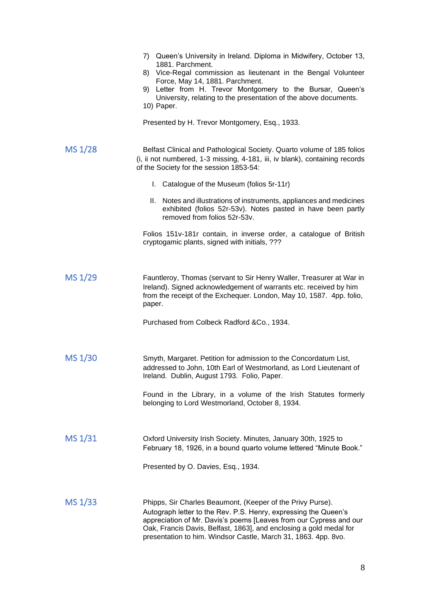|         | 7) Queen's University in Ireland. Diploma in Midwifery, October 13,<br>1881. Parchment.<br>8) Vice-Regal commission as lieutenant in the Bengal Volunteer<br>Force, May 14, 1881. Parchment.<br>9) Letter from H. Trevor Montgomery to the Bursar, Queen's<br>University, relating to the presentation of the above documents.<br>10) Paper.<br>Presented by H. Trevor Montgomery, Esq., 1933. |
|---------|------------------------------------------------------------------------------------------------------------------------------------------------------------------------------------------------------------------------------------------------------------------------------------------------------------------------------------------------------------------------------------------------|
|         |                                                                                                                                                                                                                                                                                                                                                                                                |
| MS 1/28 | Belfast Clinical and Pathological Society. Quarto volume of 185 folios<br>(i, ii not numbered, 1-3 missing, 4-181, iii, iv blank), containing records<br>of the Society for the session 1853-54:                                                                                                                                                                                               |
|         | I. Catalogue of the Museum (folios 5r-11r)                                                                                                                                                                                                                                                                                                                                                     |
|         | II. Notes and illustrations of instruments, appliances and medicines<br>exhibited (folios 52r-53v). Notes pasted in have been partly<br>removed from folios 52r-53v.                                                                                                                                                                                                                           |
|         | Folios 151v-181r contain, in inverse order, a catalogue of British<br>cryptogamic plants, signed with initials, ???                                                                                                                                                                                                                                                                            |
| MS 1/29 | Fauntleroy, Thomas (servant to Sir Henry Waller, Treasurer at War in<br>Ireland). Signed acknowledgement of warrants etc. received by him<br>from the receipt of the Exchequer. London, May 10, 1587. 4pp. folio,<br>paper.                                                                                                                                                                    |
|         | Purchased from Colbeck Radford & Co., 1934.                                                                                                                                                                                                                                                                                                                                                    |
| MS 1/30 | Smyth, Margaret. Petition for admission to the Concordatum List,<br>addressed to John, 10th Earl of Westmorland, as Lord Lieutenant of<br>Ireland. Dublin, August 1793. Folio, Paper.                                                                                                                                                                                                          |
|         | Found in the Library, in a volume of the Irish Statutes formerly<br>belonging to Lord Westmorland, October 8, 1934.                                                                                                                                                                                                                                                                            |
| MS 1/31 | Oxford University Irish Society. Minutes, January 30th, 1925 to<br>February 18, 1926, in a bound quarto volume lettered "Minute Book."                                                                                                                                                                                                                                                         |
|         | Presented by O. Davies, Esq., 1934.                                                                                                                                                                                                                                                                                                                                                            |
| MS 1/33 | Phipps, Sir Charles Beaumont, (Keeper of the Privy Purse).<br>Autograph letter to the Rev. P.S. Henry, expressing the Queen's<br>appreciation of Mr. Davis's poems [Leaves from our Cypress and our<br>Oak, Francis Davis, Belfast, 1863], and enclosing a gold medal for<br>presentation to him. Windsor Castle, March 31, 1863. 4pp. 8vo.                                                    |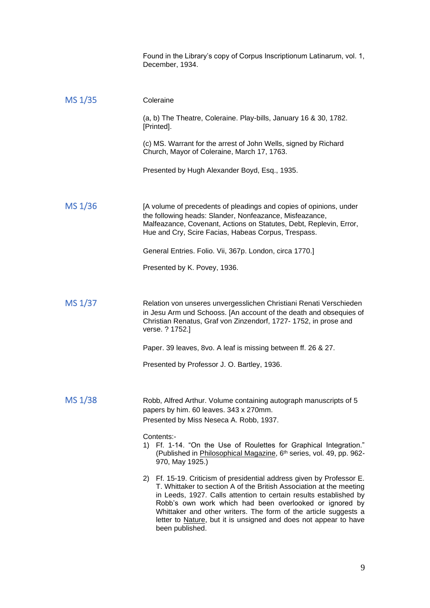|         | Found in the Library's copy of Corpus Inscriptionum Latinarum, vol. 1,<br>December, 1934.                                                                                                                                                                                                                                                                                                                                              |
|---------|----------------------------------------------------------------------------------------------------------------------------------------------------------------------------------------------------------------------------------------------------------------------------------------------------------------------------------------------------------------------------------------------------------------------------------------|
| MS 1/35 | Coleraine                                                                                                                                                                                                                                                                                                                                                                                                                              |
|         | (a, b) The Theatre, Coleraine. Play-bills, January 16 & 30, 1782.<br>[Printed].                                                                                                                                                                                                                                                                                                                                                        |
|         | (c) MS. Warrant for the arrest of John Wells, signed by Richard<br>Church, Mayor of Coleraine, March 17, 1763.                                                                                                                                                                                                                                                                                                                         |
|         | Presented by Hugh Alexander Boyd, Esq., 1935.                                                                                                                                                                                                                                                                                                                                                                                          |
| MS 1/36 | [A volume of precedents of pleadings and copies of opinions, under<br>the following heads: Slander, Nonfeazance, Misfeazance,<br>Malfeazance, Covenant, Actions on Statutes, Debt, Replevin, Error,<br>Hue and Cry, Scire Facias, Habeas Corpus, Trespass.                                                                                                                                                                             |
|         | General Entries. Folio. Vii, 367p. London, circa 1770.]                                                                                                                                                                                                                                                                                                                                                                                |
|         | Presented by K. Povey, 1936.                                                                                                                                                                                                                                                                                                                                                                                                           |
| MS 1/37 | Relation von unseres unvergesslichen Christiani Renati Verschieden<br>in Jesu Arm und Schooss. [An account of the death and obsequies of<br>Christian Renatus, Graf von Zinzendorf, 1727- 1752, in prose and<br>verse. ? 1752.]                                                                                                                                                                                                        |
|         | Paper. 39 leaves, 8vo. A leaf is missing between ff. 26 & 27.                                                                                                                                                                                                                                                                                                                                                                          |
|         | Presented by Professor J. O. Bartley, 1936.                                                                                                                                                                                                                                                                                                                                                                                            |
| MS 1/38 | Robb, Alfred Arthur. Volume containing autograph manuscripts of 5<br>papers by him. 60 leaves. 343 x 270mm.<br>Presented by Miss Neseca A. Robb, 1937.                                                                                                                                                                                                                                                                                 |
|         | Contents:-<br>1) Ff. 1-14. "On the Use of Roulettes for Graphical Integration."<br>(Published in Philosophical Magazine, 6 <sup>th</sup> series, vol. 49, pp. 962-<br>970, May 1925.)                                                                                                                                                                                                                                                  |
|         | 2) Ff. 15-19. Criticism of presidential address given by Professor E.<br>T. Whittaker to section A of the British Association at the meeting<br>in Leeds, 1927. Calls attention to certain results established by<br>Robb's own work which had been overlooked or ignored by<br>Whittaker and other writers. The form of the article suggests a<br>letter to Nature, but it is unsigned and does not appear to have<br>been published. |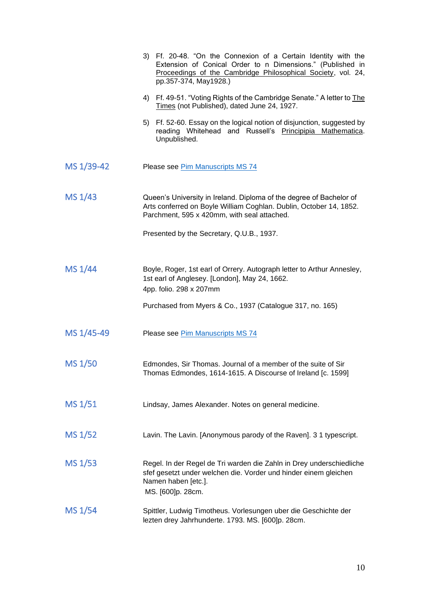|                | 3) Ff. 20-48. "On the Connexion of a Certain Identity with the<br>Extension of Conical Order to n Dimensions." (Published in<br>Proceedings of the Cambridge Philosophical Society, vol. 24,<br>pp.357-374, May1928.) |
|----------------|-----------------------------------------------------------------------------------------------------------------------------------------------------------------------------------------------------------------------|
|                | 4) Ff. 49-51. "Voting Rights of the Cambridge Senate." A letter to The<br>Times (not Published), dated June 24, 1927.                                                                                                 |
|                | 5) Ff. 52-60. Essay on the logical notion of disjunction, suggested by<br>reading Whitehead and Russell's Principipia Mathematica.<br>Unpublished.                                                                    |
| MS 1/39-42     | Please see Pim Manuscripts MS 74                                                                                                                                                                                      |
| MS 1/43        | Queen's University in Ireland. Diploma of the degree of Bachelor of<br>Arts conferred on Boyle William Coghlan. Dublin, October 14, 1852.<br>Parchment, 595 x 420mm, with seal attached.                              |
|                | Presented by the Secretary, Q.U.B., 1937.                                                                                                                                                                             |
| MS 1/44        | Boyle, Roger, 1st earl of Orrery. Autograph letter to Arthur Annesley,<br>1st earl of Anglesey. [London], May 24, 1662.<br>4pp. folio. 298 x 207mm                                                                    |
|                | Purchased from Myers & Co., 1937 (Catalogue 317, no. 165)                                                                                                                                                             |
| MS 1/45-49     | Please see Pim Manuscripts MS 74                                                                                                                                                                                      |
| <b>MS 1/50</b> | Edmondes, Sir Thomas. Journal of a member of the suite of Sir<br>Thomas Edmondes, 1614-1615. A Discourse of Ireland [c. 1599]                                                                                         |
| MS 1/51        | Lindsay, James Alexander. Notes on general medicine.                                                                                                                                                                  |
| MS 1/52        | Lavin. The Lavin. [Anonymous parody of the Raven]. 3 1 typescript.                                                                                                                                                    |
| MS 1/53        | Regel. In der Regel de Tri warden die Zahln in Drey underschiedliche<br>sfef gesetzt under welchen die. Vorder und hinder einem gleichen<br>Namen haben [etc.].<br>MS. [600]p. 28cm.                                  |
| MS 1/54        | Spittler, Ludwig Timotheus. Vorlesungen uber die Geschichte der<br>lezten drey Jahrhunderte. 1793. MS. [600]p. 28cm.                                                                                                  |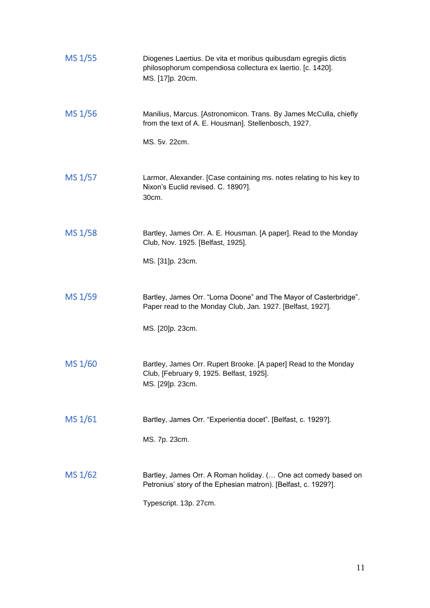| MS 1/55 | Diogenes Laertius. De vita et moribus quibusdam egregiis dictis<br>philosophorum compendiosa collectura ex laertio. [c. 1420].<br>MS. [17]p. 20cm.         |
|---------|------------------------------------------------------------------------------------------------------------------------------------------------------------|
| MS 1/56 | Manilius, Marcus. [Astronomicon. Trans. By James McCulla, chiefly<br>from the text of A. E. Housman]. Stellenbosch, 1927.<br>MS. 5v. 22cm.                 |
| MS 1/57 | Larmor, Alexander. [Case containing ms. notes relating to his key to<br>Nixon's Euclid revised. C. 1890?].<br>30cm.                                        |
| MS 1/58 | Bartley, James Orr. A. E. Housman. [A paper]. Read to the Monday<br>Club, Nov. 1925. [Belfast, 1925].<br>MS. [31]p. 23cm.                                  |
| MS 1/59 | Bartley, James Orr. "Lorna Doone" and The Mayor of Casterbridge".<br>Paper read to the Monday Club, Jan. 1927. [Belfast, 1927].<br>MS. [20]p. 23cm.        |
| MS 1/60 | Bartley, James Orr. Rupert Brooke. [A paper] Read to the Monday<br>Club, [February 9, 1925. Belfast, 1925].<br>MS. [29]p. 23cm.                            |
| MS 1/61 | Bartley, James Orr. "Experientia docet". [Belfast, c. 1929?].<br>MS. 7p. 23cm.                                                                             |
| MS 1/62 | Bartley, James Orr. A Roman holiday. ( One act comedy based on<br>Petronius' story of the Ephesian matron). [Belfast, c. 1929?].<br>Typescript. 13p. 27cm. |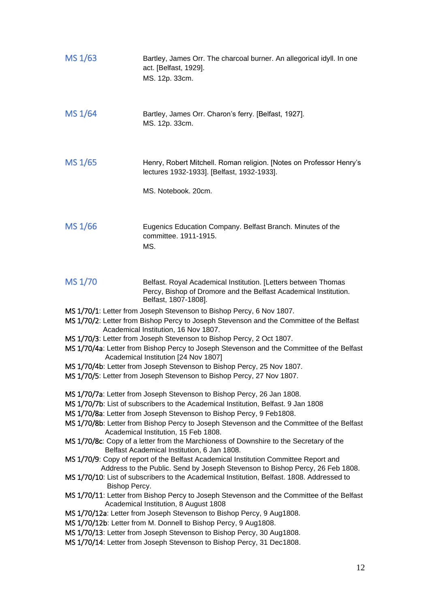| MS 1/63                                                                                                                                                                                                   | Bartley, James Orr. The charcoal burner. An allegorical idyll. In one<br>act. [Belfast, 1929].<br>MS. 12p. 33cm.                                           |  |
|-----------------------------------------------------------------------------------------------------------------------------------------------------------------------------------------------------------|------------------------------------------------------------------------------------------------------------------------------------------------------------|--|
| MS 1/64                                                                                                                                                                                                   | Bartley, James Orr. Charon's ferry. [Belfast, 1927].<br>MS. 12p. 33cm.                                                                                     |  |
| MS 1/65                                                                                                                                                                                                   | Henry, Robert Mitchell. Roman religion. [Notes on Professor Henry's<br>lectures 1932-1933]. [Belfast, 1932-1933].                                          |  |
|                                                                                                                                                                                                           | MS. Notebook. 20cm.                                                                                                                                        |  |
| MS 1/66                                                                                                                                                                                                   | Eugenics Education Company. Belfast Branch. Minutes of the<br>committee. 1911-1915.<br>MS.                                                                 |  |
| MS 1/70                                                                                                                                                                                                   | Belfast. Royal Academical Institution. [Letters between Thomas<br>Percy, Bishop of Dromore and the Belfast Academical Institution.<br>Belfast, 1807-1808]. |  |
|                                                                                                                                                                                                           | MS 1/70/1: Letter from Joseph Stevenson to Bishop Percy, 6 Nov 1807.                                                                                       |  |
|                                                                                                                                                                                                           | MS 1/70/2: Letter from Bishop Percy to Joseph Stevenson and the Committee of the Belfast<br>Academical Institution, 16 Nov 1807.                           |  |
| MS 1/70/3: Letter from Joseph Stevenson to Bishop Percy, 2 Oct 1807.<br>MS 1/70/4a: Letter from Bishop Percy to Joseph Stevenson and the Committee of the Belfast<br>Academical Institution [24 Nov 1807] |                                                                                                                                                            |  |
|                                                                                                                                                                                                           | MS 1/70/4b: Letter from Joseph Stevenson to Bishop Percy, 25 Nov 1807.                                                                                     |  |
| MS 1/70/5: Letter from Joseph Stevenson to Bishop Percy, 27 Nov 1807.                                                                                                                                     |                                                                                                                                                            |  |
|                                                                                                                                                                                                           | MS 1/70/7a: Letter from Joseph Stevenson to Bishop Percy, 26 Jan 1808.                                                                                     |  |
|                                                                                                                                                                                                           | MS 1/70/7b: List of subscribers to the Academical Institution, Belfast. 9 Jan 1808                                                                         |  |
| MS 1/70/8a: Letter from Joseph Stevenson to Bishop Percy, 9 Feb1808.<br>MS 1/70/8b: Letter from Bishop Percy to Joseph Stevenson and the Committee of the Belfast                                         |                                                                                                                                                            |  |
| Academical Institution, 15 Feb 1808.                                                                                                                                                                      |                                                                                                                                                            |  |
| MS 1/70/8c: Copy of a letter from the Marchioness of Downshire to the Secretary of the<br>Belfast Academical Institution, 6 Jan 1808.                                                                     |                                                                                                                                                            |  |
| MS 1/70/9: Copy of report of the Belfast Academical Institution Committee Report and                                                                                                                      |                                                                                                                                                            |  |
| Address to the Public. Send by Joseph Stevenson to Bishop Percy, 26 Feb 1808.<br>MS 1/70/10: List of subscribers to the Academical Institution, Belfast. 1808. Addressed to                               |                                                                                                                                                            |  |
| Bishop Percy.                                                                                                                                                                                             |                                                                                                                                                            |  |
|                                                                                                                                                                                                           | MS 1/70/11: Letter from Bishop Percy to Joseph Stevenson and the Committee of the Belfast<br>Academical Institution, 8 August 1808                         |  |
|                                                                                                                                                                                                           | MS 1/70/12a: Letter from Joseph Stevenson to Bishop Percy, 9 Aug1808.                                                                                      |  |
| MS 1/70/12b: Letter from M. Donnell to Bishop Percy, 9 Aug1808.                                                                                                                                           |                                                                                                                                                            |  |
|                                                                                                                                                                                                           | MS 1/70/13: Letter from Joseph Stevenson to Bishop Percy, 30 Aug1808.<br>MS 1/70/14: Letter from Joseph Stevenson to Bishop Percy, 31 Dec1808.             |  |
|                                                                                                                                                                                                           |                                                                                                                                                            |  |
|                                                                                                                                                                                                           | 12                                                                                                                                                         |  |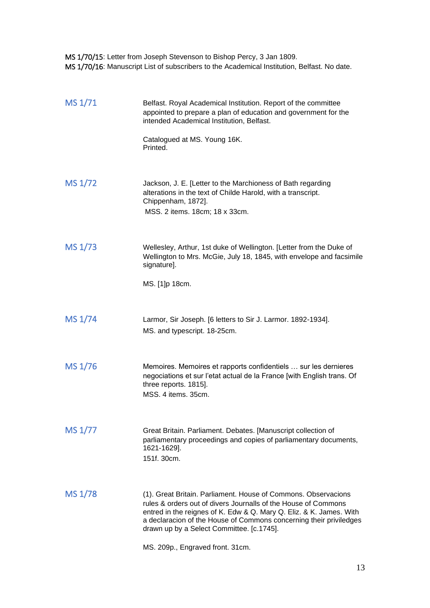MS 1/70/15: Letter from Joseph Stevenson to Bishop Percy, 3 Jan 1809. MS 1/70/16: Manuscript List of subscribers to the Academical Institution, Belfast. No date.

| MS 1/71 | Belfast. Royal Academical Institution. Report of the committee<br>appointed to prepare a plan of education and government for the<br>intended Academical Institution, Belfast.                                                                                                                                             |
|---------|----------------------------------------------------------------------------------------------------------------------------------------------------------------------------------------------------------------------------------------------------------------------------------------------------------------------------|
|         | Catalogued at MS. Young 16K.<br>Printed.                                                                                                                                                                                                                                                                                   |
| MS 1/72 | Jackson, J. E. [Letter to the Marchioness of Bath regarding<br>alterations in the text of Childe Harold, with a transcript.<br>Chippenham, 1872].<br>MSS. 2 items. 18cm; 18 x 33cm.                                                                                                                                        |
| MS 1/73 | Wellesley, Arthur, 1st duke of Wellington. [Letter from the Duke of<br>Wellington to Mrs. McGie, July 18, 1845, with envelope and facsimile<br>signature].                                                                                                                                                                 |
|         | MS. [1]p 18cm.                                                                                                                                                                                                                                                                                                             |
| MS 1/74 | Larmor, Sir Joseph. [6 letters to Sir J. Larmor. 1892-1934].<br>MS. and typescript. 18-25cm.                                                                                                                                                                                                                               |
| MS 1/76 | Memoires. Memoires et rapports confidentiels  sur les dernieres<br>negociations et sur l'etat actual de la France [with English trans. Of<br>three reports. 1815].<br>MSS, 4 items, 35cm.                                                                                                                                  |
| MS 1/77 | Great Britain. Parliament. Debates. [Manuscript collection of<br>parliamentary proceedings and copies of parliamentary documents,<br>1621-1629].<br>151f. 30cm.                                                                                                                                                            |
| MS 1/78 | (1). Great Britain. Parliament. House of Commons. Observacions<br>rules & orders out of divers Journalls of the House of Commons<br>entred in the reignes of K. Edw & Q. Mary Q. Eliz. & K. James. With<br>a declaracion of the House of Commons concerning their priviledges<br>drawn up by a Select Committee. [c.1745]. |
|         | MS. 209p., Engraved front. 31cm.                                                                                                                                                                                                                                                                                           |

13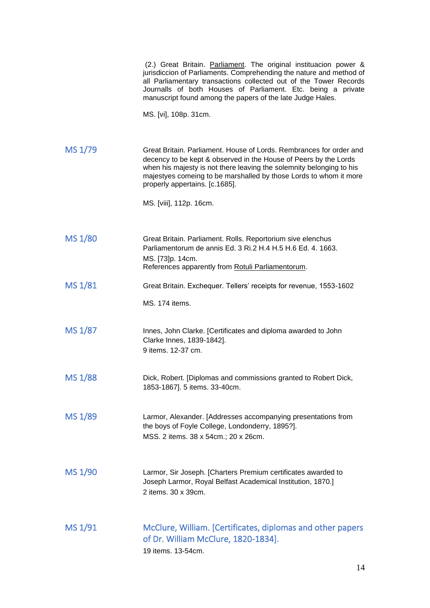|         | (2.) Great Britain. Parliament. The original instituacion power &<br>jurisdiccion of Parliaments. Comprehending the nature and method of<br>all Parliamentary transactions collected out of the Tower Records<br>Journalls of both Houses of Parliament. Etc. being a private<br>manuscript found among the papers of the late Judge Hales.<br>MS. [vi], 108p. 31cm. |
|---------|----------------------------------------------------------------------------------------------------------------------------------------------------------------------------------------------------------------------------------------------------------------------------------------------------------------------------------------------------------------------|
| MS 1/79 | Great Britain. Parliament. House of Lords. Rembrances for order and<br>decency to be kept & observed in the House of Peers by the Lords<br>when his majesty is not there leaving the solemnity belonging to his<br>majestyes comeing to be marshalled by those Lords to whom it more<br>properly appertains. [c.1685].<br>MS. [viii], 112p. 16cm.                    |
| MS 1/80 | Great Britain. Parliament. Rolls. Reportorium sive elenchus<br>Parliamentorum de annis Ed. 3 Ri.2 H.4 H.5 H.6 Ed. 4. 1663.<br>MS. [73]p. 14cm.<br>References apparently from Rotuli Parliamentorum.                                                                                                                                                                  |
| MS 1/81 | Great Britain. Exchequer. Tellers' receipts for revenue, 1553-1602<br>MS. 174 items.                                                                                                                                                                                                                                                                                 |
| MS 1/87 | Innes, John Clarke. [Certificates and diploma awarded to John<br>Clarke Innes, 1839-1842].<br>9 items. 12-37 cm.                                                                                                                                                                                                                                                     |
| MS 1/88 | Dick, Robert. [Diplomas and commissions granted to Robert Dick,<br>1853-1867]. 5 items. 33-40cm.                                                                                                                                                                                                                                                                     |
| MS 1/89 | Larmor, Alexander. [Addresses accompanying presentations from<br>the boys of Foyle College, Londonderry, 1895?].<br>MSS. 2 items. 38 x 54cm.; 20 x 26cm.                                                                                                                                                                                                             |
| MS 1/90 | Larmor, Sir Joseph. [Charters Premium certificates awarded to<br>Joseph Larmor, Royal Belfast Academical Institution, 1870.]<br>2 items. 30 x 39cm.                                                                                                                                                                                                                  |
| MS 1/91 | McClure, William. [Certificates, diplomas and other papers<br>of Dr. William McClure, 1820-1834].<br>19 items. 13-54cm.                                                                                                                                                                                                                                              |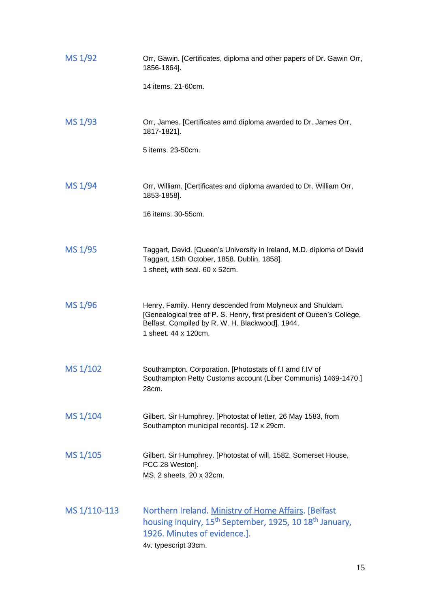| MS 1/92      | Orr, Gawin. [Certificates, diploma and other papers of Dr. Gawin Orr,<br>1856-1864].                                                                                                                           |
|--------------|----------------------------------------------------------------------------------------------------------------------------------------------------------------------------------------------------------------|
|              | 14 items. 21-60cm.                                                                                                                                                                                             |
| MS 1/93      | Orr, James. [Certificates amd diploma awarded to Dr. James Orr,<br>1817-1821].                                                                                                                                 |
|              | 5 items. 23-50cm.                                                                                                                                                                                              |
| MS 1/94      | Orr, William. [Certificates and diploma awarded to Dr. William Orr,<br>1853-1858].                                                                                                                             |
|              | 16 items, 30-55cm.                                                                                                                                                                                             |
| MS 1/95      | Taggart, David. [Queen's University in Ireland, M.D. diploma of David<br>Taggart, 15th October, 1858. Dublin, 1858].<br>1 sheet, with seal. 60 x 52cm.                                                         |
| MS 1/96      | Henry, Family. Henry descended from Molyneux and Shuldam.<br>[Genealogical tree of P. S. Henry, first president of Queen's College,<br>Belfast. Compiled by R. W. H. Blackwood]. 1944.<br>1 sheet. 44 x 120cm. |
| MS 1/102     | Southampton. Corporation. [Photostats of f.I amd f.IV of<br>Southampton Petty Customs account (Liber Communis) 1469-1470.]<br>28cm.                                                                            |
| MS 1/104     | Gilbert, Sir Humphrey. [Photostat of letter, 26 May 1583, from<br>Southampton municipal records]. 12 x 29cm.                                                                                                   |
| MS 1/105     | Gilbert, Sir Humphrey. [Photostat of will, 1582. Somerset House,<br>PCC 28 Weston].<br>MS. 2 sheets. 20 x 32cm.                                                                                                |
| MS 1/110-113 | Northern Ireland. Ministry of Home Affairs. [Belfast<br>housing inquiry, 15 <sup>th</sup> September, 1925, 10 18 <sup>th</sup> January,<br>1926. Minutes of evidence.].<br>4v. typescript 33cm.                |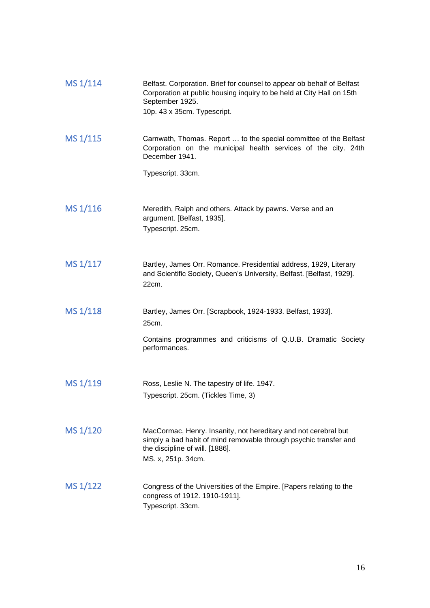| MS 1/114 | Belfast. Corporation. Brief for counsel to appear ob behalf of Belfast<br>Corporation at public housing inquiry to be held at City Hall on 15th<br>September 1925.<br>10p. 43 x 35cm. Typescript. |
|----------|---------------------------------------------------------------------------------------------------------------------------------------------------------------------------------------------------|
| MS 1/115 | Carnwath, Thomas. Report  to the special committee of the Belfast<br>Corporation on the municipal health services of the city. 24th<br>December 1941.                                             |
|          | Typescript. 33cm.                                                                                                                                                                                 |
| MS 1/116 | Meredith, Ralph and others. Attack by pawns. Verse and an<br>argument. [Belfast, 1935].<br>Typescript. 25cm.                                                                                      |
| MS 1/117 | Bartley, James Orr. Romance. Presidential address, 1929, Literary<br>and Scientific Society, Queen's University, Belfast. [Belfast, 1929].<br>22cm.                                               |
| MS 1/118 | Bartley, James Orr. [Scrapbook, 1924-1933. Belfast, 1933].<br>25cm.                                                                                                                               |
|          | Contains programmes and criticisms of Q.U.B. Dramatic Society<br>performances.                                                                                                                    |
| MS 1/119 | Ross, Leslie N. The tapestry of life. 1947.<br>Typescript. 25cm. (Tickles Time, 3)                                                                                                                |
|          |                                                                                                                                                                                                   |
| MS 1/120 | MacCormac, Henry. Insanity, not hereditary and not cerebral but<br>simply a bad habit of mind removable through psychic transfer and<br>the discipline of will. [1886].<br>MS. x, 251p. 34cm.     |
| MS 1/122 | Congress of the Universities of the Empire. [Papers relating to the<br>congress of 1912. 1910-1911].<br>Typescript. 33cm.                                                                         |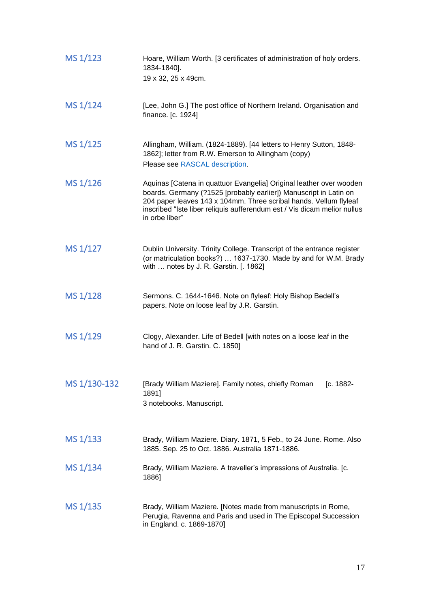| MS 1/123     | Hoare, William Worth. [3 certificates of administration of holy orders.<br>1834-1840].<br>19 x 32, 25 x 49cm.                                                                                                                                                                                               |
|--------------|-------------------------------------------------------------------------------------------------------------------------------------------------------------------------------------------------------------------------------------------------------------------------------------------------------------|
| MS 1/124     | [Lee, John G.] The post office of Northern Ireland. Organisation and<br>finance. [c. 1924]                                                                                                                                                                                                                  |
| MS 1/125     | Allingham, William. (1824-1889). [44 letters to Henry Sutton, 1848-<br>1862]; letter from R.W. Emerson to Allingham (copy)<br>Please see RASCAL description.                                                                                                                                                |
| MS 1/126     | Aquinas [Catena in quattuor Evangelia] Original leather over wooden<br>boards. Germany (?1525 [probably earlier]) Manuscript in Latin on<br>204 paper leaves 143 x 104mm. Three scribal hands. Vellum flyleaf<br>inscribed "Iste liber reliquis aufferendum est / Vis dicam melior nullus<br>in orbe liber" |
| MS 1/127     | Dublin University. Trinity College. Transcript of the entrance register<br>(or matriculation books?)  1637-1730. Made by and for W.M. Brady<br>with  notes by J. R. Garstin. [. 1862]                                                                                                                       |
| MS 1/128     | Sermons. C. 1644-1646. Note on flyleaf: Holy Bishop Bedell's<br>papers. Note on loose leaf by J.R. Garstin.                                                                                                                                                                                                 |
| MS 1/129     | Clogy, Alexander. Life of Bedell [with notes on a loose leaf in the<br>hand of J. R. Garstin. C. 1850]                                                                                                                                                                                                      |
| MS 1/130-132 | [Brady William Maziere]. Family notes, chiefly Roman<br>[c. 1882-<br>1891]<br>3 notebooks. Manuscript.                                                                                                                                                                                                      |
| MS 1/133     | Brady, William Maziere. Diary. 1871, 5 Feb., to 24 June. Rome. Also<br>1885. Sep. 25 to Oct. 1886. Australia 1871-1886.                                                                                                                                                                                     |
| MS 1/134     | Brady, William Maziere. A traveller's impressions of Australia. [c.<br>1886]                                                                                                                                                                                                                                |
| MS 1/135     | Brady, William Maziere. [Notes made from manuscripts in Rome,<br>Perugia, Ravenna and Paris and used in The Episcopal Succession<br>in England. c. 1869-1870]                                                                                                                                               |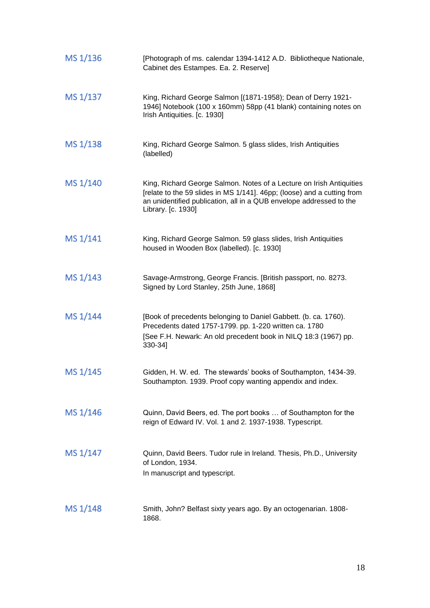| MS 1/136 | [Photograph of ms. calendar 1394-1412 A.D. Bibliotheque Nationale,<br>Cabinet des Estampes. Ea. 2. Reserve]                                                                                                                                  |
|----------|----------------------------------------------------------------------------------------------------------------------------------------------------------------------------------------------------------------------------------------------|
| MS 1/137 | King, Richard George Salmon [(1871-1958); Dean of Derry 1921-<br>1946] Notebook (100 x 160mm) 58pp (41 blank) containing notes on<br>Irish Antiquities. [c. 1930]                                                                            |
| MS 1/138 | King, Richard George Salmon. 5 glass slides, Irish Antiquities<br>(labelled)                                                                                                                                                                 |
| MS 1/140 | King, Richard George Salmon. Notes of a Lecture on Irish Antiquities<br>[relate to the 59 slides in MS 1/141]. 46pp; (loose) and a cutting from<br>an unidentified publication, all in a QUB envelope addressed to the<br>Library. [c. 1930] |
| MS 1/141 | King, Richard George Salmon. 59 glass slides, Irish Antiquities<br>housed in Wooden Box (labelled). [c. 1930]                                                                                                                                |
| MS 1/143 | Savage-Armstrong, George Francis. [British passport, no. 8273.<br>Signed by Lord Stanley, 25th June, 1868]                                                                                                                                   |
| MS 1/144 | [Book of precedents belonging to Daniel Gabbett. (b. ca. 1760).<br>Precedents dated 1757-1799. pp. 1-220 written ca. 1780<br>[See F.H. Newark: An old precedent book in NILQ 18:3 (1967) pp.<br>330-34]                                      |
| MS 1/145 | Gidden, H. W. ed. The stewards' books of Southampton, 1434-39.<br>Southampton. 1939. Proof copy wanting appendix and index.                                                                                                                  |
| MS 1/146 | Quinn, David Beers, ed. The port books  of Southampton for the<br>reign of Edward IV. Vol. 1 and 2. 1937-1938. Typescript.                                                                                                                   |
| MS 1/147 | Quinn, David Beers. Tudor rule in Ireland. Thesis, Ph.D., University<br>of London, 1934.<br>In manuscript and typescript.                                                                                                                    |
| MS 1/148 | Smith, John? Belfast sixty years ago. By an octogenarian. 1808-<br>1868.                                                                                                                                                                     |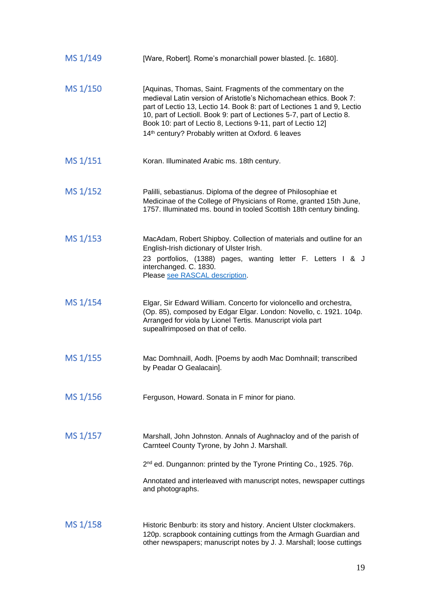| MS 1/149 | [Ware, Robert]. Rome's monarchiall power blasted. [c. 1680].                                                                                                                                                                                                                                                                                                                                                             |
|----------|--------------------------------------------------------------------------------------------------------------------------------------------------------------------------------------------------------------------------------------------------------------------------------------------------------------------------------------------------------------------------------------------------------------------------|
| MS 1/150 | [Aquinas, Thomas, Saint. Fragments of the commentary on the<br>medieval Latin version of Aristotle's Nichomachean ethics. Book 7:<br>part of Lectio 13, Lectio 14. Book 8: part of Lectiones 1 and 9, Lectio<br>10, part of Lectioll. Book 9: part of Lectiones 5-7, part of Lectio 8.<br>Book 10: part of Lectio 8, Lections 9-11, part of Lectio 12]<br>14 <sup>th</sup> century? Probably written at Oxford. 6 leaves |
| MS 1/151 | Koran. Illuminated Arabic ms. 18th century.                                                                                                                                                                                                                                                                                                                                                                              |
| MS 1/152 | Palilli, sebastianus. Diploma of the degree of Philosophiae et<br>Medicinae of the College of Physicians of Rome, granted 15th June,<br>1757. Illuminated ms. bound in tooled Scottish 18th century binding.                                                                                                                                                                                                             |
| MS 1/153 | MacAdam, Robert Shipboy. Collection of materials and outline for an<br>English-Irish dictionary of Ulster Irish.<br>23 portfolios, (1388) pages, wanting letter F. Letters I & J<br>interchanged. C. 1830.<br>Please see RASCAL description.                                                                                                                                                                             |
| MS 1/154 | Elgar, Sir Edward William. Concerto for violoncello and orchestra,<br>(Op. 85), composed by Edgar Elgar. London: Novello, c. 1921. 104p.<br>Arranged for viola by Lionel Tertis. Manuscript viola part<br>supeallrimposed on that of cello.                                                                                                                                                                              |
| MS 1/155 | Mac Domhnaill, Aodh. [Poems by aodh Mac Domhnaill; transcribed<br>by Peadar O Gealacain].                                                                                                                                                                                                                                                                                                                                |
| MS 1/156 | Ferguson, Howard. Sonata in F minor for piano.                                                                                                                                                                                                                                                                                                                                                                           |
| MS 1/157 | Marshall, John Johnston. Annals of Aughnacloy and of the parish of<br>Carnteel County Tyrone, by John J. Marshall.<br>2 <sup>nd</sup> ed. Dungannon: printed by the Tyrone Printing Co., 1925. 76p.<br>Annotated and interleaved with manuscript notes, newspaper cuttings                                                                                                                                               |
|          | and photographs.                                                                                                                                                                                                                                                                                                                                                                                                         |
| MS 1/158 | Historic Benburb: its story and history. Ancient Ulster clockmakers.<br>120p. scrapbook containing cuttings from the Armagh Guardian and<br>other newspapers; manuscript notes by J. J. Marshall; loose cuttings                                                                                                                                                                                                         |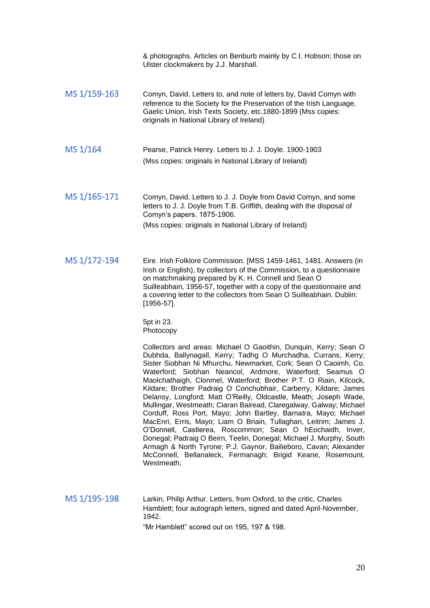|              | & photographs. Articles on Benburb mainly by C.I. Hobson; those on<br>Ulster clockmakers by J.J. Marshall.                                                                                                                                                                                                                                                                                                                                                                                                                                                                                                                                                                                                                                                                                                                                                                                                                                                                                    |
|--------------|-----------------------------------------------------------------------------------------------------------------------------------------------------------------------------------------------------------------------------------------------------------------------------------------------------------------------------------------------------------------------------------------------------------------------------------------------------------------------------------------------------------------------------------------------------------------------------------------------------------------------------------------------------------------------------------------------------------------------------------------------------------------------------------------------------------------------------------------------------------------------------------------------------------------------------------------------------------------------------------------------|
| MS 1/159-163 | Comyn, David. Letters to, and note of letters by, David Comyn with<br>reference to the Society for the Preservation of the Irish Language,<br>Gaelic Union, Irish Texts Society, etc.1880-1899 (Mss copies:<br>originals in National Library of Ireland)                                                                                                                                                                                                                                                                                                                                                                                                                                                                                                                                                                                                                                                                                                                                      |
| MS 1/164     | Pearse, Patrick Henry. Letters to J. J. Doyle. 1900-1903<br>(Mss copies: originals in National Library of Ireland)                                                                                                                                                                                                                                                                                                                                                                                                                                                                                                                                                                                                                                                                                                                                                                                                                                                                            |
| MS 1/165-171 | Comyn, David. Letters to J. J. Doyle from David Comyn, and some<br>letters to J. J. Doyle from T.B. Griffith, dealing with the disposal of<br>Comyn's papers. 1875-1906.<br>(Mss copies: originals in National Library of Ireland)                                                                                                                                                                                                                                                                                                                                                                                                                                                                                                                                                                                                                                                                                                                                                            |
| MS 1/172-194 | Eire. Irish Folklore Commission. [MSS 1459-1461, 1481. Answers (in<br>Irish or English), by collectors of the Commission, to a questionnaire<br>on matchmaking prepared by K. H. Connell and Sean O<br>Suilleabhain, 1956-57, together with a copy of the questionnaire and<br>a covering letter to the collectors from Sean O Suilleabhain. Dublin:<br>$[1956-57]$ .<br>5pt in 23.                                                                                                                                                                                                                                                                                                                                                                                                                                                                                                                                                                                                           |
|              | Photocopy<br>Collectors and areas: Michael O Gaoithin, Dunquin, Kerry; Sean O<br>Dubhda, Ballynagall, Kerry; Tadhg O Murchadha, Currans, Kerry;<br>Sister Siobhan Ni Mhurchu, Newmarket, Cork; Sean O Caoimh, Co.<br>Waterford; Siobhan Neancol, Ardmore, Waterford; Seamus O<br>Maolchathaigh, Clonmel, Waterford; Brother P.T. O Riain, Kilcock,<br>Kildare; Brother Padraig O Conchubhair, Carberry, Kildare; James<br>Delansy, Longford; Matt O'Reilly, Oldcastle, Meath; Joseph Wade,<br>Mullingar, Westmeath; Ciaran Bairead, Claregalway, Galway; Michael<br>Corduff, Ross Port, Mayo; John Bartley, Barnatra, Mayo; Michael<br>MacEnri, Erris, Mayo; Liam O Briain, Tullaghan, Leitrim; James J.<br>O'Donnell, Castlerea, Roscommon; Sean O hEochaidh, Inver,<br>Donegal; Padraig O Beirn, Teelin, Donegal; Michael J. Murphy, South<br>Armagh & North Tyrone; P.J. Gaynor, Bailieboro, Cavan; Alexander<br>McConnell, Bellanaleck, Fermanagh; Brigid Keane, Rosemount,<br>Westmeath; |
| MS 1/195-198 | Larkin, Philip Arthur. Letters, from Oxford, to the critic, Charles<br>Hamblett; four autograph letters, signed and dated April-November,<br>1942.<br>"Mr Hamblett" scored out on 195, 197 & 198.                                                                                                                                                                                                                                                                                                                                                                                                                                                                                                                                                                                                                                                                                                                                                                                             |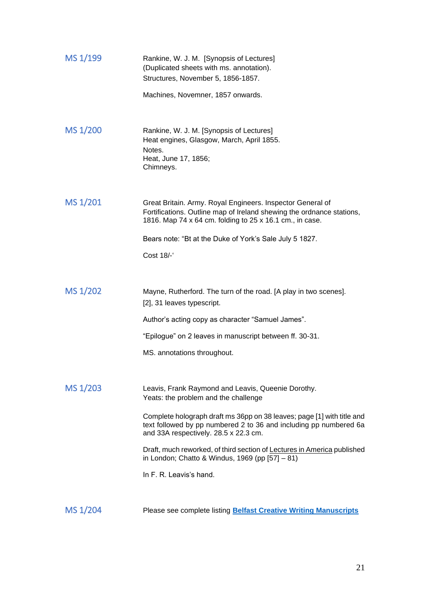| MS 1/199 | Rankine, W. J. M. [Synopsis of Lectures]<br>(Duplicated sheets with ms. annotation).<br>Structures, November 5, 1856-1857.                                                                      |
|----------|-------------------------------------------------------------------------------------------------------------------------------------------------------------------------------------------------|
|          | Machines, Novemner, 1857 onwards.                                                                                                                                                               |
| MS 1/200 | Rankine, W. J. M. [Synopsis of Lectures]<br>Heat engines, Glasgow, March, April 1855.<br>Notes.<br>Heat, June 17, 1856;<br>Chimneys.                                                            |
| MS 1/201 | Great Britain. Army. Royal Engineers. Inspector General of<br>Fortifications. Outline map of Ireland shewing the ordnance stations,<br>1816. Map 74 x 64 cm. folding to 25 x 16.1 cm., in case. |
|          | Bears note: "Bt at the Duke of York's Sale July 5 1827.                                                                                                                                         |
|          | Cost 18/-                                                                                                                                                                                       |
|          |                                                                                                                                                                                                 |
| MS 1/202 | Mayne, Rutherford. The turn of the road. [A play in two scenes].<br>[2], 31 leaves typescript.                                                                                                  |
|          | Author's acting copy as character "Samuel James".                                                                                                                                               |
|          | "Epilogue" on 2 leaves in manuscript between ff. 30-31.                                                                                                                                         |
|          | MS. annotations throughout.                                                                                                                                                                     |
| MS 1/203 | Leavis, Frank Raymond and Leavis, Queenie Dorothy.<br>Yeats: the problem and the challenge                                                                                                      |
|          | Complete holograph draft ms 36pp on 38 leaves; page [1] with title and<br>text followed by pp numbered 2 to 36 and including pp numbered 6a<br>and 33A respectively. 28.5 x 22.3 cm.            |
|          | Draft, much reworked, of third section of Lectures in America published<br>in London; Chatto & Windus, 1969 (pp [57] - 81)                                                                      |
|          | In F. R. Leavis's hand.                                                                                                                                                                         |
|          |                                                                                                                                                                                                 |
| MS 1/204 | Please see complete listing <b>Belfast Creative Writing Manuscripts</b>                                                                                                                         |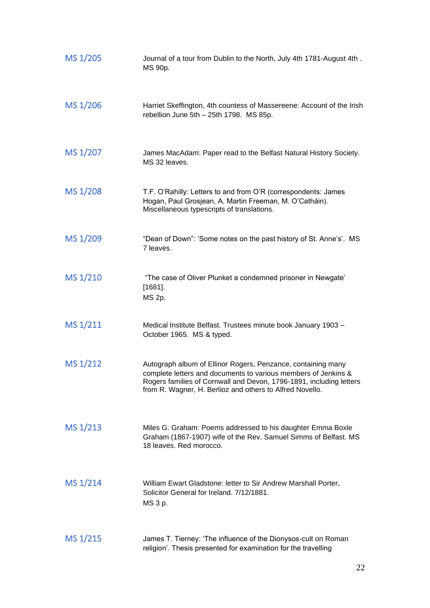| MS 1/205 | Journal of a tour from Dublin to the North, July 4th 1781-August 4th.<br>MS 90p.                                                                                                                                                                                  |
|----------|-------------------------------------------------------------------------------------------------------------------------------------------------------------------------------------------------------------------------------------------------------------------|
| MS 1/206 | Harriet Skeffington, 4th countess of Massereene: Account of the Irish<br>rebellion June 5th - 25th 1798. MS 85p.                                                                                                                                                  |
| MS 1/207 | James MacAdam: Paper read to the Belfast Natural History Society.<br>MS 32 leaves.                                                                                                                                                                                |
| MS 1/208 | T.F. O'Rahilly: Letters to and from O'R (correspondents: James<br>Hogan, Paul Grosjean, A. Martin Freeman, M. O'Catháin).<br>Miscellaneous typescripts of translations.                                                                                           |
| MS 1/209 | "Dean of Down": 'Some notes on the past history of St. Anne's'. MS<br>7 leaves.                                                                                                                                                                                   |
| MS 1/210 | "The case of Oliver Plunket a condemned prisoner in Newgate'<br>$[1681]$ .<br>MS 2p.                                                                                                                                                                              |
| MS 1/211 | Medical Institute Belfast. Trustees minute book January 1903 -<br>October 1965. MS & typed.                                                                                                                                                                       |
| MS 1/212 | Autograph album of Ellinor Rogers, Penzance, containing many<br>complete letters and documents to various members of Jenkins &<br>Rogers families of Cornwall and Devon, 1796-1891, including letters<br>from R. Wagner, H. Berlioz and others to Alfred Novello. |
| MS 1/213 | Miles G. Graham: Poems addressed to his daughter Emma Boxle<br>Graham (1867-1907) wife of the Rev. Samuel Simms of Belfast. MS<br>18 leaves. Red morocco.                                                                                                         |
| MS 1/214 | William Ewart Gladstone: letter to Sir Andrew Marshall Porter,<br>Solicitor General for Ireland. 7/12/1881.<br>MS 3 p.                                                                                                                                            |
| MS 1/215 | James T. Tierney: 'The influence of the Dionysos-cult on Roman<br>religion'. Thesis presented for examination for the travelling                                                                                                                                  |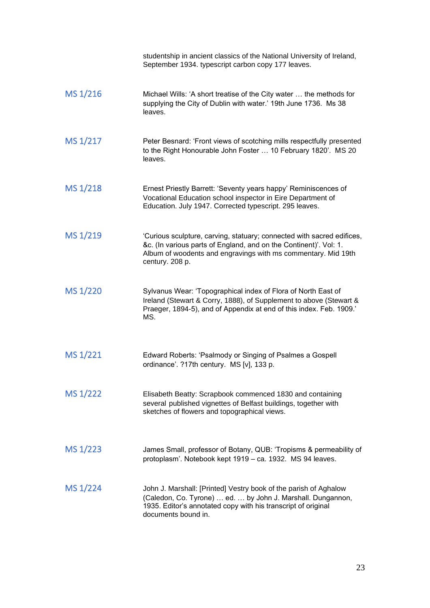|          | studentship in ancient classics of the National University of Ireland,<br>September 1934. typescript carbon copy 177 leaves.                                                                                                    |
|----------|---------------------------------------------------------------------------------------------------------------------------------------------------------------------------------------------------------------------------------|
| MS 1/216 | Michael Wills: 'A short treatise of the City water  the methods for<br>supplying the City of Dublin with water.' 19th June 1736. Ms 38<br>leaves.                                                                               |
| MS 1/217 | Peter Besnard: 'Front views of scotching mills respectfully presented<br>to the Right Honourable John Foster  10 February 1820'. MS 20<br>leaves.                                                                               |
| MS 1/218 | Ernest Priestly Barrett: 'Seventy years happy' Reminiscences of<br>Vocational Education school inspector in Eire Department of<br>Education. July 1947. Corrected typescript. 295 leaves.                                       |
| MS 1/219 | 'Curious sculpture, carving, statuary; connected with sacred edifices,<br>&c. (In various parts of England, and on the Continent)'. Vol: 1.<br>Album of woodents and engravings with ms commentary. Mid 19th<br>century. 208 p. |
| MS 1/220 | Sylvanus Wear: 'Topographical index of Flora of North East of<br>Ireland (Stewart & Corry, 1888), of Supplement to above (Stewart &<br>Praeger, 1894-5), and of Appendix at end of this index. Feb. 1909.'<br>MS.               |
| MS 1/221 | Edward Roberts: 'Psalmody or Singing of Psalmes a Gospell<br>ordinance'. ?17th century. MS [v], 133 p.                                                                                                                          |
| MS 1/222 | Elisabeth Beatty: Scrapbook commenced 1830 and containing<br>several published vignettes of Belfast buildings, together with<br>sketches of flowers and topographical views.                                                    |
| MS 1/223 | James Small, professor of Botany, QUB: 'Tropisms & permeability of<br>protoplasm'. Notebook kept 1919 - ca. 1932. MS 94 leaves.                                                                                                 |
| MS 1/224 | John J. Marshall: [Printed] Vestry book of the parish of Aghalow<br>(Caledon, Co. Tyrone)  ed.  by John J. Marshall. Dungannon,<br>1935. Editor's annotated copy with his transcript of original<br>documents bound in.         |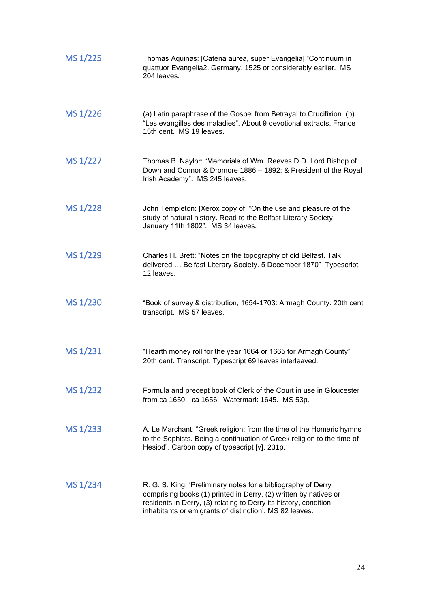| MS 1/225 | Thomas Aquinas: [Catena aurea, super Evangelia] "Continuum in<br>quattuor Evangelia2. Germany, 1525 or considerably earlier. MS<br>204 leaves.                                                                                                                    |
|----------|-------------------------------------------------------------------------------------------------------------------------------------------------------------------------------------------------------------------------------------------------------------------|
| MS 1/226 | (a) Latin paraphrase of the Gospel from Betrayal to Crucifixion. (b)<br>"Les evangilles des maladies". About 9 devotional extracts. France<br>15th cent. MS 19 leaves.                                                                                            |
| MS 1/227 | Thomas B. Naylor: "Memorials of Wm. Reeves D.D. Lord Bishop of<br>Down and Connor & Dromore 1886 - 1892: & President of the Royal<br>Irish Academy". MS 245 leaves.                                                                                               |
| MS 1/228 | John Templeton: [Xerox copy of] "On the use and pleasure of the<br>study of natural history. Read to the Belfast Literary Society<br>January 11th 1802". MS 34 leaves.                                                                                            |
| MS 1/229 | Charles H. Brett: "Notes on the topography of old Belfast. Talk<br>delivered  Belfast Literary Society. 5 December 1870" Typescript<br>12 leaves.                                                                                                                 |
| MS 1/230 | "Book of survey & distribution, 1654-1703: Armagh County. 20th cent<br>transcript. MS 57 leaves.                                                                                                                                                                  |
| MS 1/231 | "Hearth money roll for the year 1664 or 1665 for Armagh County"<br>20th cent. Transcript. Typescript 69 leaves interleaved.                                                                                                                                       |
| MS 1/232 | Formula and precept book of Clerk of the Court in use in Gloucester<br>from ca 1650 - ca 1656. Watermark 1645. MS 53p.                                                                                                                                            |
| MS 1/233 | A. Le Marchant: "Greek religion: from the time of the Homeric hymns<br>to the Sophists. Being a continuation of Greek religion to the time of<br>Hesiod". Carbon copy of typescript [v]. 231p.                                                                    |
| MS 1/234 | R. G. S. King: 'Preliminary notes for a bibliography of Derry<br>comprising books (1) printed in Derry, (2) written by natives or<br>residents in Derry, (3) relating to Derry its history, condition,<br>inhabitants or emigrants of distinction'. MS 82 leaves. |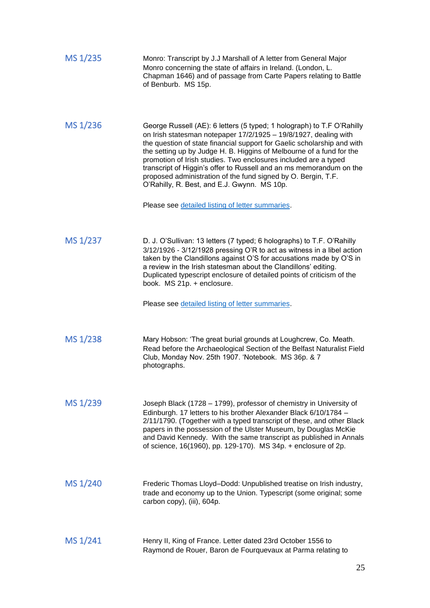| MS 1/235 | Monro: Transcript by J.J Marshall of A letter from General Major<br>Monro concerning the state of affairs in Ireland. (London, L.<br>Chapman 1646) and of passage from Carte Papers relating to Battle<br>of Benburb. MS 15p.                                                                                                                                                                                                                                                                                                                                                                               |
|----------|-------------------------------------------------------------------------------------------------------------------------------------------------------------------------------------------------------------------------------------------------------------------------------------------------------------------------------------------------------------------------------------------------------------------------------------------------------------------------------------------------------------------------------------------------------------------------------------------------------------|
| MS 1/236 | George Russell (AE): 6 letters (5 typed; 1 holograph) to T.F O'Rahilly<br>on Irish statesman notepaper 17/2/1925 - 19/8/1927, dealing with<br>the question of state financial support for Gaelic scholarship and with<br>the setting up by Judge H. B. Higgins of Melbourne of a fund for the<br>promotion of Irish studies. Two enclosures included are a typed<br>transcript of Higgin's offer to Russell and an ms memorandum on the<br>proposed administration of the fund signed by O. Bergin, T.F.<br>O'Rahilly, R. Best, and E.J. Gwynn. MS 10p.<br>Please see detailed listing of letter summaries. |
| MS 1/237 | D. J. O'Sullivan: 13 letters (7 typed; 6 holographs) to T.F. O'Rahilly<br>3/12/1926 - 3/12/1928 pressing O'R to act as witness in a libel action<br>taken by the Clandillons against O'S for accusations made by O'S in<br>a review in the Irish statesman about the Clandillons' editing.<br>Duplicated typescript enclosure of detailed points of criticism of the<br>book. MS 21p. + enclosure.<br>Please see detailed listing of letter summaries.                                                                                                                                                      |
| MS 1/238 | Mary Hobson: 'The great burial grounds at Loughcrew, Co. Meath.<br>Read before the Archaeological Section of the Belfast Naturalist Field<br>Club, Monday Nov. 25th 1907. 'Notebook. MS 36p. & 7<br>photographs.                                                                                                                                                                                                                                                                                                                                                                                            |
| MS 1/239 | Joseph Black (1728 - 1799), professor of chemistry in University of<br>Edinburgh. 17 letters to his brother Alexander Black 6/10/1784 -<br>2/11/1790. (Together with a typed transcript of these, and other Black<br>papers in the possession of the Ulster Museum, by Douglas McKie<br>and David Kennedy. With the same transcript as published in Annals<br>of science, 16(1960), pp. 129-170). MS 34p. + enclosure of 2p.                                                                                                                                                                                |
| MS 1/240 | Frederic Thomas Lloyd-Dodd: Unpublished treatise on Irish industry,<br>trade and economy up to the Union. Typescript (some original; some<br>carbon copy), (iii), 604p.                                                                                                                                                                                                                                                                                                                                                                                                                                     |
| MS 1/241 | Henry II, King of France. Letter dated 23rd October 1556 to<br>Raymond de Rouer, Baron de Fourquevaux at Parma relating to                                                                                                                                                                                                                                                                                                                                                                                                                                                                                  |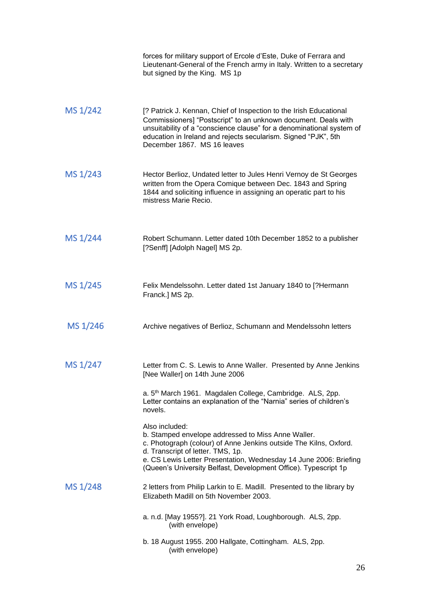|          | forces for military support of Ercole d'Este, Duke of Ferrara and<br>Lieutenant-General of the French army in Italy. Written to a secretary<br>but signed by the King. MS 1p                                                                                                                                           |
|----------|------------------------------------------------------------------------------------------------------------------------------------------------------------------------------------------------------------------------------------------------------------------------------------------------------------------------|
| MS 1/242 | [? Patrick J. Kennan, Chief of Inspection to the Irish Educational<br>Commissioners] "Postscript" to an unknown document. Deals with<br>unsuitability of a "conscience clause" for a denominational system of<br>education in Ireland and rejects secularism. Signed "PJK", 5th<br>December 1867. MS 16 leaves         |
| MS 1/243 | Hector Berlioz, Undated letter to Jules Henri Vernoy de St Georges<br>written from the Opera Comique between Dec. 1843 and Spring<br>1844 and soliciting influence in assigning an operatic part to his<br>mistress Marie Recio.                                                                                       |
| MS 1/244 | Robert Schumann. Letter dated 10th December 1852 to a publisher<br>[?Senff] [Adolph Nagel] MS 2p.                                                                                                                                                                                                                      |
| MS 1/245 | Felix Mendelssohn. Letter dated 1st January 1840 to [?Hermann<br>Franck.] MS 2p.                                                                                                                                                                                                                                       |
| MS 1/246 | Archive negatives of Berlioz, Schumann and Mendelssohn letters                                                                                                                                                                                                                                                         |
| MS 1/247 | Letter from C. S. Lewis to Anne Waller. Presented by Anne Jenkins<br>[Nee Waller] on 14th June 2006                                                                                                                                                                                                                    |
|          | a. 5 <sup>th</sup> March 1961. Magdalen College, Cambridge. ALS, 2pp.<br>Letter contains an explanation of the "Narnia" series of children's<br>novels.                                                                                                                                                                |
|          | Also included:<br>b. Stamped envelope addressed to Miss Anne Waller.<br>c. Photograph (colour) of Anne Jenkins outside The Kilns, Oxford.<br>d. Transcript of letter. TMS, 1p.<br>e. CS Lewis Letter Presentation, Wednesday 14 June 2006: Briefing<br>(Queen's University Belfast, Development Office). Typescript 1p |
| MS 1/248 | 2 letters from Philip Larkin to E. Madill. Presented to the library by<br>Elizabeth Madill on 5th November 2003.                                                                                                                                                                                                       |
|          | a. n.d. [May 1955?]. 21 York Road, Loughborough. ALS, 2pp.<br>(with envelope)                                                                                                                                                                                                                                          |
|          | b. 18 August 1955. 200 Hallgate, Cottingham. ALS, 2pp.<br>(with envelope)                                                                                                                                                                                                                                              |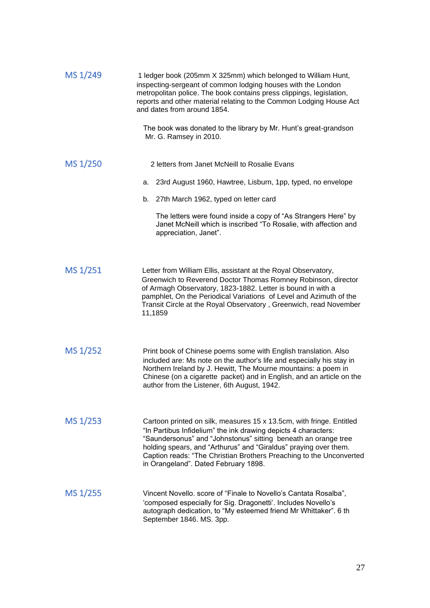| MS 1/249 | 1 ledger book (205mm X 325mm) which belonged to William Hunt,<br>inspecting-sergeant of common lodging houses with the London<br>metropolitan police. The book contains press clippings, legislation,<br>reports and other material relating to the Common Lodging House Act<br>and dates from around 1854.                                                                                 |
|----------|---------------------------------------------------------------------------------------------------------------------------------------------------------------------------------------------------------------------------------------------------------------------------------------------------------------------------------------------------------------------------------------------|
|          | The book was donated to the library by Mr. Hunt's great-grandson<br>Mr. G. Ramsey in 2010.                                                                                                                                                                                                                                                                                                  |
| MS 1/250 | 2 letters from Janet McNeill to Rosalie Evans                                                                                                                                                                                                                                                                                                                                               |
|          | a. 23rd August 1960, Hawtree, Lisburn, 1pp, typed, no envelope                                                                                                                                                                                                                                                                                                                              |
|          | b. 27th March 1962, typed on letter card                                                                                                                                                                                                                                                                                                                                                    |
|          | The letters were found inside a copy of "As Strangers Here" by<br>Janet McNeill which is inscribed "To Rosalie, with affection and<br>appreciation, Janet".                                                                                                                                                                                                                                 |
| MS 1/251 | Letter from William Ellis, assistant at the Royal Observatory,<br>Greenwich to Reverend Doctor Thomas Romney Robinson, director<br>of Armagh Observatory, 1823-1882. Letter is bound in with a<br>pamphlet, On the Periodical Variations of Level and Azimuth of the<br>Transit Circle at the Royal Observatory, Greenwich, read November<br>11,1859                                        |
| MS 1/252 | Print book of Chinese poems some with English translation. Also<br>included are: Ms note on the author's life and especially his stay in<br>Northern Ireland by J. Hewitt, The Mourne mountains: a poem in<br>Chinese (on a cigarette packet) and in English, and an article on the<br>author from the Listener, 6th August, 1942.                                                          |
| MS 1/253 | Cartoon printed on silk, measures 15 x 13.5cm, with fringe. Entitled<br>"In Partibus Infidelium" the ink drawing depicts 4 characters:<br>"Saundersonus" and "Johnstonus" sitting beneath an orange tree<br>holding spears, and "Arthurus" and "Giraldus" praying over them.<br>Caption reads: "The Christian Brothers Preaching to the Unconverted<br>in Orangeland". Dated February 1898. |
| MS 1/255 | Vincent Novello. score of "Finale to Novello's Cantata Rosalba",<br>'composed especially for Sig. Dragonetti'. Includes Novello's<br>autograph dedication, to "My esteemed friend Mr Whittaker". 6 th<br>September 1846. MS. 3pp.                                                                                                                                                           |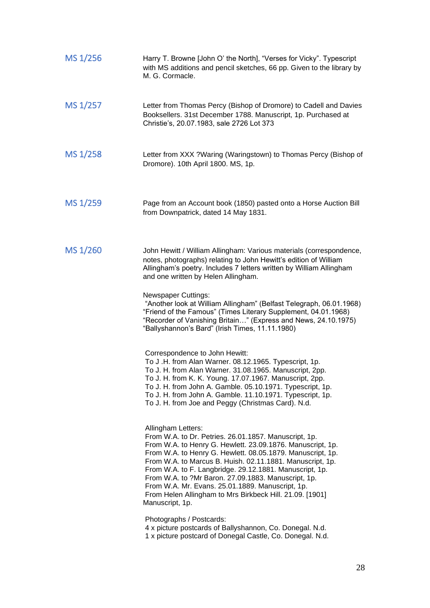| MS 1/256 | Harry T. Browne [John O' the North], "Verses for Vicky". Typescript<br>with MS additions and pencil sketches, 66 pp. Given to the library by<br>M. G. Cormacle.                                                                                                                                                                                                                                                                                                                                                           |
|----------|---------------------------------------------------------------------------------------------------------------------------------------------------------------------------------------------------------------------------------------------------------------------------------------------------------------------------------------------------------------------------------------------------------------------------------------------------------------------------------------------------------------------------|
| MS 1/257 | Letter from Thomas Percy (Bishop of Dromore) to Cadell and Davies<br>Booksellers. 31st December 1788. Manuscript, 1p. Purchased at<br>Christie's, 20.07.1983, sale 2726 Lot 373                                                                                                                                                                                                                                                                                                                                           |
| MS 1/258 | Letter from XXX ? Waring (Waringstown) to Thomas Percy (Bishop of<br>Dromore). 10th April 1800. MS, 1p.                                                                                                                                                                                                                                                                                                                                                                                                                   |
| MS 1/259 | Page from an Account book (1850) pasted onto a Horse Auction Bill<br>from Downpatrick, dated 14 May 1831.                                                                                                                                                                                                                                                                                                                                                                                                                 |
| MS 1/260 | John Hewitt / William Allingham: Various materials (correspondence,<br>notes, photographs) relating to John Hewitt's edition of William<br>Allingham's poetry. Includes 7 letters written by William Allingham<br>and one written by Helen Allingham.                                                                                                                                                                                                                                                                     |
|          | <b>Newspaper Cuttings:</b><br>"Another look at William Allingham" (Belfast Telegraph, 06.01.1968)<br>"Friend of the Famous" (Times Literary Supplement, 04.01.1968)<br>"Recorder of Vanishing Britain" (Express and News, 24.10.1975)<br>"Ballyshannon's Bard" (Irish Times, 11.11.1980)                                                                                                                                                                                                                                  |
|          | Correspondence to John Hewitt:<br>To J.H. from Alan Warner. 08.12.1965. Typescript, 1p.<br>To J. H. from Alan Warner. 31.08.1965. Manuscript, 2pp.<br>To J. H. from K. K. Young. 17.07.1967. Manuscript, 2pp.<br>To J. H. from John A. Gamble. 05.10.1971. Typescript, 1p.<br>To J. H. from John A. Gamble. 11.10.1971. Typescript, 1p.<br>To J. H. from Joe and Peggy (Christmas Card). N.d.                                                                                                                             |
|          | Allingham Letters:<br>From W.A. to Dr. Petries. 26.01.1857. Manuscript, 1p.<br>From W.A. to Henry G. Hewlett. 23.09.1876. Manuscript, 1p.<br>From W.A. to Henry G. Hewlett. 08.05.1879. Manuscript, 1p.<br>From W.A. to Marcus B. Huish. 02.11.1881. Manuscript, 1p.<br>From W.A. to F. Langbridge. 29.12.1881. Manuscript, 1p.<br>From W.A. to ?Mr Baron. 27.09.1883. Manuscript, 1p.<br>From W.A. Mr. Evans. 25.01.1889. Manuscript, 1p.<br>From Helen Allingham to Mrs Birkbeck Hill. 21.09. [1901]<br>Manuscript, 1p. |
|          | Photographs / Postcards:<br>4 x picture postcards of Ballyshannon, Co. Donegal. N.d.<br>1 x picture postcard of Donegal Castle, Co. Donegal. N.d.                                                                                                                                                                                                                                                                                                                                                                         |